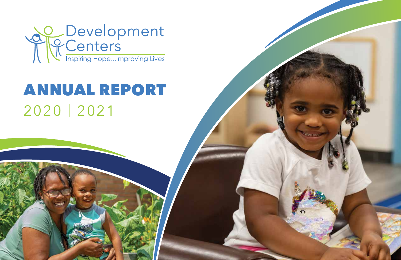

# ANNUAL REPORT 2020 | 2021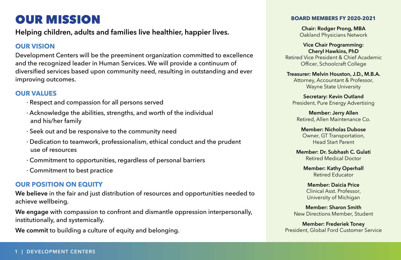# OUR MISSION

**Helping children, adults and families live healthier, happier lives.** 

#### **OUR VISION**

Development Centers will be the preeminent organization committed to excellence and the recognized leader in Human Services. We will provide a continuum of diversified services based upon community need, resulting in outstanding and ever improving outcomes.

#### **OUR VALUES**

- · Respect and compassion for all persons served
- · Acknowledge the abilities, strengths, and worth of the individual and his/her family
- · Seek out and be responsive to the community need
- · Dedication to teamwork, professionalism, ethical conduct and the prudent use of resources
- · Commitment to opportunities, regardless of personal barriers
- · Commitment to best practice

#### **OUR POSITION ON EQUITY**

**We believe** in the fair and just distribution of resources and opportunities needed to achieve wellbeing.

**We engage** with compassion to confront and dismantle oppression interpersonally, institutionally, and systemically.

**We commit** to building a culture of equity and belonging.

#### **BOARD MEMBERS FY 2020-2021**

**Chair: Rodger Prong, MBA**  Oakland Physicians Network

**Vice Chair Programming: Cheryl Hawkins, PhD** Retired Vice President & Chief Academic Officer, Schoolcraft College

**Treasurer: Melvin Houston, J.D., M.B.A.** Attorney, Accountant & Professor, Wayne State University

**Secretary: Kevin Outland** President, Pure Energy Advertising

**Member: Jerry Allen** Retired, Allen Maintenance Co.

**Member: Nicholas Dubose** Owner, GT Transportation, Head Start Parent

**Member: Dr. Subhash C. Gulati** Retired Medical Doctor

**Member: Kathy Operhall** Retired Educator

**Member: Daicia Price** Clinical Asst. Professor, University of Michigan

**Member: Sharon Smith** New Directions Member, Student

**Member: Frederiek Toney** President, Global Ford Customer Service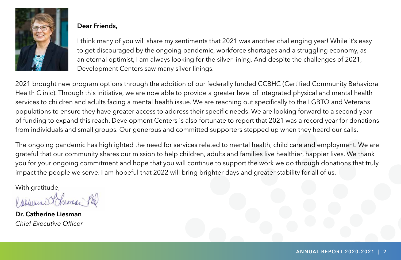

### **Dear Friends,**

I think many of you will share my sentiments that 2021 was another challenging year! While it's easy to get discouraged by the ongoing pandemic, workforce shortages and a struggling economy, as an eternal optimist, I am always looking for the silver lining. And despite the challenges of 2021, Development Centers saw many silver linings.

2021 brought new program options through the addition of our federally funded CCBHC (Certified Community Behavioral Health Clinic). Through this initiative, we are now able to provide a greater level of integrated physical and mental health services to children and adults facing a mental health issue. We are reaching out specifically to the LGBTQ and Veterans populations to ensure they have greater access to address their specific needs. We are looking forward to a second year of funding to expand this reach. Development Centers is also fortunate to report that 2021 was a record year for donations from individuals and small groups. Our generous and committed supporters stepped up when they heard our calls.

The ongoing pandemic has highlighted the need for services related to mental health, child care and employment. We are grateful that our community shares our mission to help children, adults and families live healthier, happier lives. We thank you for your ongoing commitment and hope that you will continue to support the work we do through donations that truly impact the people we serve. I am hopeful that 2022 will bring brighter days and greater stability for all of us.

With gratitude,

Carmeria Heman Phil

**Dr. Catherine Liesman** *Chief Executive Officer*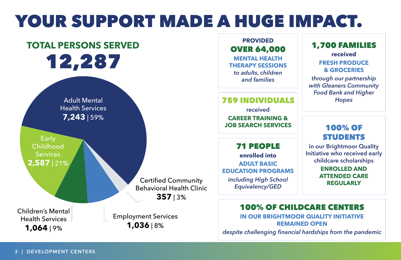# YOUR SUPPORT MADE A HUGE IMPACT.

# **TOTAL PERSONS SERVED** 12,287

Adult Mental Health Services **7,243** | 59%

**Early** Childhood **Services 2,587** | 21%

Children's Mental Health Services **1,064** | 9%

Certified Community Behavioral Health Clinic **357** | 3%

Employment Services **1,036** | 8%

### **PROVIDED** OVER 64,000

**MENTAL HEALTH THERAPY SESSIONS**  *to adults, children and families*

759 INDIVIDUALS **received CAREER TRAINING & JOB SEARCH SERVICES** 

71 PEOPLE **enrolled into Adult Basic Education programs** *including High School Equivalency/GED*

# 1,700 FAMILIES

**received FRESH PRODUCE & GROCERIES**

*through our partnership with Gleaners Community Food Bank and Higher Hopes*

# 100% OF STUDENTS

**in our Brightmoor Quality Initiative who received early childcare scholarships** 

> **enrolled and attended care regularly**

### 100% OF CHILDCARE CENTERS **in our Brightmoor Quality Initiative**

**remained open**

*despite challenging financial hardships from the pandemic*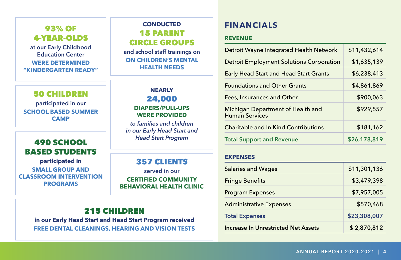## 93% of 4-year-olds

**at our Early Childhood Education Center were determined "Kindergarten ready"**

#### 50 CHILDREN

**participated in our School Based Summer Camp**

# *Head Start Program* 490 SCHOOL BASED STUDENTS

**participated in small group and classroom intervention programs**

# **CONDUCTED** 15 PARENT CIRCLE GROUPS

**and school staff trainings on on children's mental health needs**

### **NEARLY** 24,000 **DIAPERS/PULL-UPS**

**WERE PROVIDED**

*to families and children in our Early Head Start and* 

## 357 CLIENTS

**served in our certified Community Behavioral Health Clinic**

## 215 CHILDREN

**in our Early Head Start and Head Start Program received free dental cleanings, hearing and vision tests**

# **FINANCIALS**

#### **REVENUE**

| Detroit Wayne Integrated Health Network                    | \$11,432,614 |
|------------------------------------------------------------|--------------|
| <b>Detroit Employment Solutions Corporation</b>            | \$1,635,139  |
| <b>Early Head Start and Head Start Grants</b>              | \$6,238,413  |
| <b>Foundations and Other Grants</b>                        | \$4,861,869  |
| Fees, Insurances and Other                                 | \$900,063    |
| Michigan Department of Health and<br><b>Human Services</b> | \$929,557    |
| <b>Charitable and In Kind Contributions</b>                | \$181,162    |
| <b>Total Support and Revenue</b>                           | \$26,178,819 |

#### **EXPENSES**

| <b>Salaries and Wages</b>                  | \$11,301,136 |
|--------------------------------------------|--------------|
| <b>Fringe Benefits</b>                     | \$3,479,398  |
| <b>Program Expenses</b>                    | \$7,957,005  |
| <b>Administrative Expenses</b>             | \$570,468    |
| <b>Total Expenses</b>                      | \$23,308,007 |
| <b>Increase In Unrestricted Net Assets</b> | \$2,870,812  |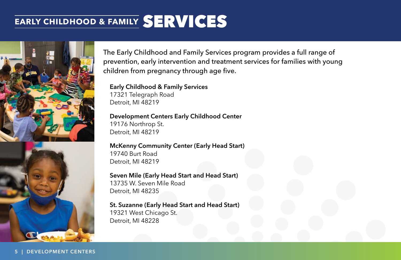# **EARLY CHILDHOOD & FAMILY** SERVICES





The Early Childhood and Family Services program provides a full range of prevention, early intervention and treatment services for families with young children from pregnancy through age five.

**Early Childhood & Family Services** 17321 Telegraph Road Detroit, MI 48219

**Development Centers Early Childhood Center** 19176 Northrop St. Detroit, MI 48219

**McKenny Community Center (Early Head Start)** 19740 Burt Road Detroit, MI 48219

**Seven Mile (Early Head Start and Head Start)** 13735 W. Seven Mile Road Detroit, MI 48235

**St. Suzanne (Early Head Start and Head Start)** 19321 West Chicago St. Detroit, MI 48228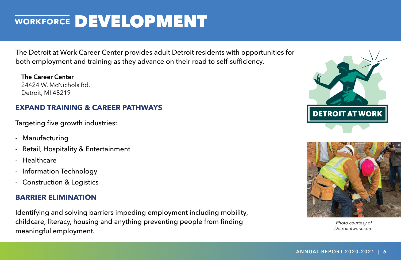# **WORKFORCE** DEVELOPMENT

The Detroit at Work Career Center provides adult Detroit residents with opportunities for both employment and training as they advance on their road to self-sufficiency.

**The Career Center** 24424 W. McNichols Rd. Detroit, MI 48219

## **Expand Training & Career Pathways**

Targeting five growth industries:

- Manufacturing
- Retail, Hospitality & Entertainment
- Healthcare
- Information Technology
- Construction & Logistics

### **Barrier Elimination**

Identifying and solving barriers impeding employment including mobility, childcare, literacy, housing and anything preventing people from finding meaningful employment.



*Photo courtesy of Detroitatwork.com.*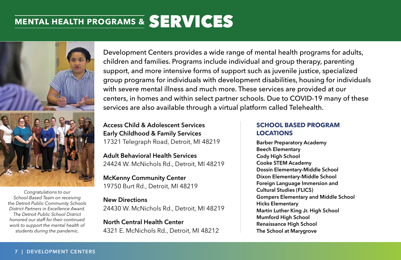# **MENTAL HEALTH PROGRAMS &** SERVICES



*Congratulations to our School-Based Team on receiving the Detroit Public Community Schools District Partners in Excellence Award. The Detroit Public School District honored our staff for their continued work to support the mental health of students during the pandemic.*

Development Centers provides a wide range of mental health programs for adults, children and families. Programs include individual and group therapy, parenting support, and more intensive forms of support such as juvenile justice, specialized group programs for individuals with development disabilities, housing for individuals with severe mental illness and much more. These services are provided at our centers, in homes and within select partner schools. Due to COVID-19 many of these services are also available through a virtual platform called Telehealth.

**Access Child & Adolescent Services Early Childhood & Family Services** 17321 Telegraph Road, Detroit, MI 48219

**Adult Behavioral Health Services** 24424 W. McNichols Rd., Detroit, MI 48219

**McKenny Community Center** 19750 Burt Rd., Detroit, MI 48219

### **New Directions**

24430 W. McNichols Rd., Detroit, MI 48219

**North Central Health Center** 4321 E. McNichols Rd., Detroit, MI 48212

#### **SCHOOL BASED PROGRAM LOCATIONS**

**Barber Preparatory Academy Beech Elementary Cody High School Cooke STEM Academy Dossin Elementary-Middle School Dixon Elementary-Middle School Foreign Language Immersion and Cultural Studies (FLICS) Gompers Elementary and Middle School Hicks Elementary Martin Luther King Jr. High School Mumford High School Renaissance High School The School at Marygrove**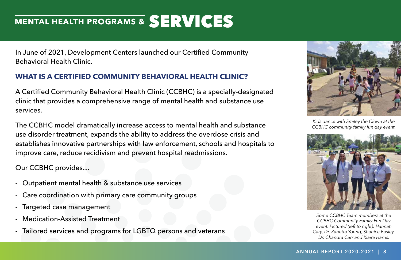# **MENTAL HEALTH PROGRAMS &** SERVICES

In June of 2021, Development Centers launched our Certified Community Behavioral Health Clinic.

### **What is a Certified Community Behavioral Health Clinic?**

A Certified Community Behavioral Health Clinic (CCBHC) is a specially-designated clinic that provides a comprehensive range of mental health and substance use services.

The CCBHC model dramatically increase access to mental health and substance use disorder treatment, expands the ability to address the overdose crisis and establishes innovative partnerships with law enforcement, schools and hospitals to improve care, reduce recidivism and prevent hospital readmissions.

Our CCBHC provides…

- Outpatient mental health & substance use services
- Care coordination with primary care community groups
- Targeted case management
- Medication-Assisted Treatment
- Tailored services and programs for LGBTQ persons and veterans



*Kids dance with Smiley the Clown at the CCBHC community family fun day event.* 



*Some CCBHC Team members at the CCBHC Community Family Fun Day event. Pictured (left to right): Hannah Cary, Dr. Kanetra Young, Shanice Easley, Dr. Chandra Carr and Kiaira Harris.*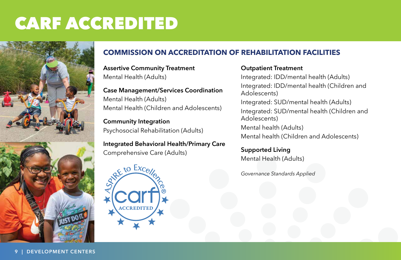# CARF ACCREDITED



# **COMMISSION ON ACCREDITATION OF REHABILITATION FACILITIES**

**Assertive Community Treatment** Mental Health (Adults)

## **Case Management/Services Coordination** Mental Health (Adults) Mental Health (Children and Adolescents)

**Community Integration** Psychosocial Rehabilitation (Adults)

**Integrated Behavioral Health/Primary Care** Comprehensive Care (Adults)



#### **Outpatient Treatment**

Integrated: IDD/mental health (Adults) Integrated: IDD/mental health (Children and Adolescents) Integrated: SUD/mental health (Adults) Integrated: SUD/mental health (Children and Adolescents) Mental health (Adults) Mental health (Children and Adolescents)

**Supported Living** Mental Health (Adults)

*Governance Standards Applied*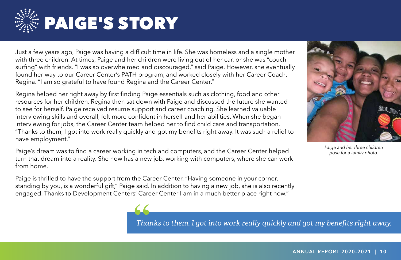

Just a few years ago, Paige was having a difficult time in life. She was homeless and a single mother with three children. At times, Paige and her children were living out of her car, or she was "couch surfing" with friends. "I was so overwhelmed and discouraged," said Paige. However, she eventually found her way to our Career Center's PATH program, and worked closely with her Career Coach, Regina. "I am so grateful to have found Regina and the Career Center."

Regina helped her right away by first finding Paige essentials such as clothing, food and other resources for her children. Regina then sat down with Paige and discussed the future she wanted to see for herself. Paige received resume support and career coaching. She learned valuable interviewing skills and overall, felt more confident in herself and her abilities. When she began interviewing for jobs, the Career Center team helped her to find child care and transportation. "Thanks to them, I got into work really quickly and got my benefits right away. It was such a relief to have employment."

Paige's dream was to find a career working in tech and computers, and the Career Center helped turn that dream into a reality. She now has a new job, working with computers, where she can work from home.

Paige is thrilled to have the support from the Career Center. "Having someone in your corner, standing by you, is a wonderful gift," Paige said. In addition to having a new job, she is also recently engaged. Thanks to Development Centers' Career Center I am in a much better place right now."



*Paige and her three children pose for a family photo.* 

**66**<br>Tha *Thanks to them, I got into work really quickly and got my benefits right away.*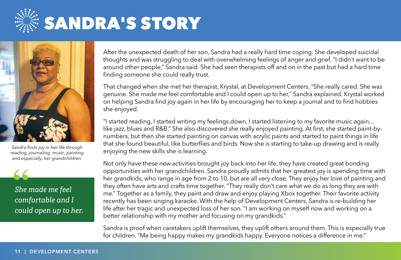



*Sandra finds joy in her life through reading, journaling, music, painting and especially*, *her grandchildren.* 

*She made me feel*  **"** *comfortable and I could open up to her.* After the unexpected death of her son, Sandra had a really hard time coping. She developed suicidal thoughts and was struggling to deal with overwhelming feelings of anger and grief. "I didn't want to be around other people," Sandra said. She had seen therapists off and on in the past but had a hard time finding someone she could really trust.

That changed when she met her therapist, Krystal, at Development Centers. "She really cared. She was genuine. She made me feel comfortable and I could open up to her," Sandra explained. Krystal worked on helping Sandra find joy again in her life by encouraging her to keep a journal and to find hobbies she enjoyed.

"I started reading, I started writing my feelings down, I started listening to my favorite music again... like jazz, blues and R&B." She also discovered she really enjoyed painting. At first, she started paint-bynumbers, but then she started painting on canvas with acrylic paints and started to paint things in life that she found beautiful, like butterflies and birds. Now she is starting to take-up drawing and is really enjoying the new skills she is learning.

Not only have these new activities brought joy back into her life, they have created great bonding opportunities with her grandchildren. Sandra proudly admits that her greatest joy is spending time with her grandkids, who range in age from 2 to 10, but are all very close. They enjoy her love of painting and they often have arts and crafts time together. "They really don't care what we do as long they are with me." Together as a family, they paint and draw and enjoy playing Xbox together. Their favorite activity recently has been singing karaoke. With the help of Development Centers, Sandra is re-building her life after her tragic and unexpected loss of her son. "I am working on myself now and working on a better relationship with my mother and focusing on my grandkids."

Sandra is proof when caretakers uplift themselves, they uplift others around them. This is especially true for children. "Me being happy makes my grandkids happy. Everyone notices a difference in me."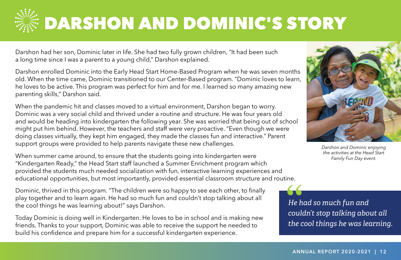

# DARSHON AND DOMINIC'S STORY

Darshon had her son, Dominic later in life. She had two fully grown children, "It had been such a long time since I was a parent to a young child," Darshon explained.

Darshon enrolled Dominic into the Early Head Start Home-Based Program when he was seven months old. When the time came, Dominic transitioned to our Center-Based program. "Dominic loves to learn, he loves to be active. This program was perfect for him and for me. I learned so many amazing new parenting skills," Darshon said.

When the pandemic hit and classes moved to a virtual environment, Darshon began to worry. Dominic was a very social child and thrived under a routine and structure. He was four years old and would be heading into kindergarten the following year. She was worried that being out of school might put him behind. However, the teachers and staff were very proactive. "Even though we were doing classes virtually, they kept him engaged, they made the classes fun and interactive." Parent support groups were provided to help parents navigate these new challenges.

When summer came around, to ensure that the students going into kindergarten were "Kindergarten Ready," the Head Start staff launched a Summer Enrichment program which provided the students much needed socialization with fun, interactive learning experiences and educational opportunities, but most importantly, provided essential classroom structure and routine.

Dominic, thrived in this program. "The children were so happy to see each other, to finally play together and to learn again. He had so much fun and couldn't stop talking about all the cool things he was learning about!" says Darshon.

Today Dominic is doing well in Kindergarten. He loves to be in school and is making new friends. Thanks to your support, Dominic was able to receive the support he needed to build his confidence and prepare him for a successful kindergarten experience.



*Darshon and Dominic enjoying the activities at the Head Start Family Fun Day event.*

*He had so much fun and couldn't stop talking about all the cool things he was learning.* **66**<br>
He h<br>
coul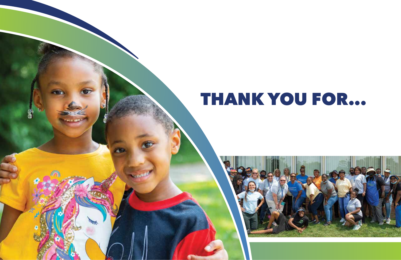# THANK YOU FOR...

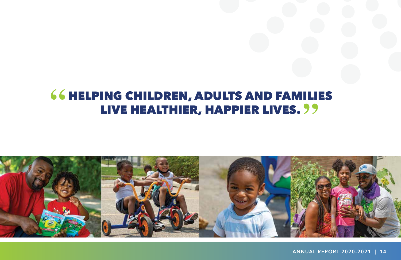# **66 HELPING CHILDREN, ADULTS AND FAMILIES** ING CHILDREN, ADULTS AND FAMILI<br>LIVE HEALTHIER, HAPPIER LIVES. <mark>?</mark> ?